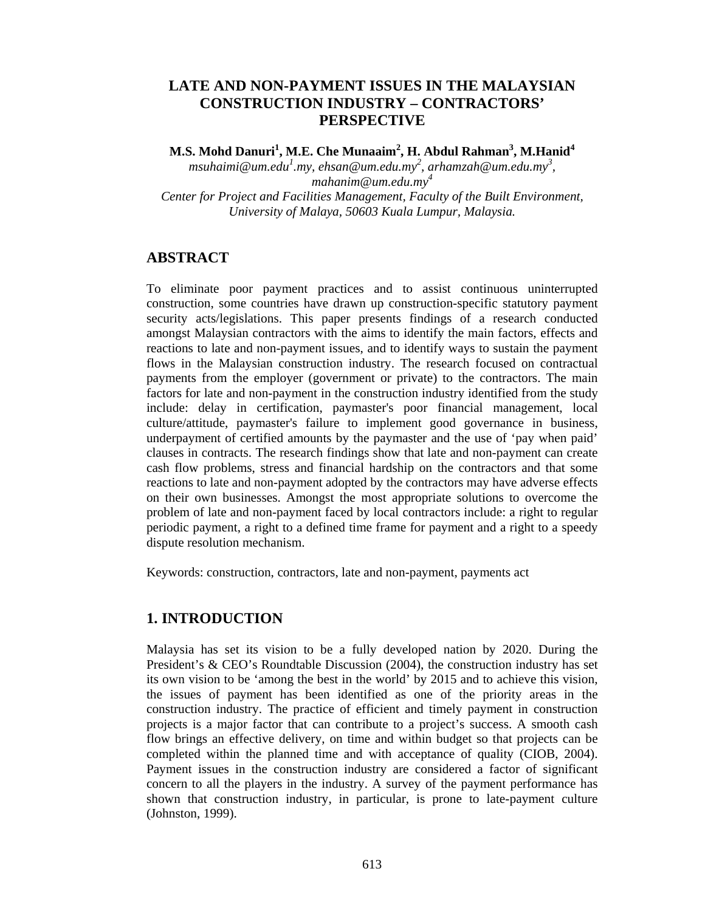# **LATE AND NON-PAYMENT ISSUES IN THE MALAYSIAN CONSTRUCTION INDUSTRY – CONTRACTORS' PERSPECTIVE**

 $\mathbf{M.S.}$  Mohd Danuri $^1$ , M.E. Che Munaaim $^2$ , H. Abdul Rahman $^3$ , M.Hanid $^4$ *msuhaimi@um.edu<sup>1</sup> .my, ehsan@um.edu.my2 , arhamzah@um.edu.my3 , mahanim@um.edu.my4 Center for Project and Facilities Management, Faculty of the Built Environment, University of Malaya, 50603 Kuala Lumpur, Malaysia.*

# **ABSTRACT**

To eliminate poor payment practices and to assist continuous uninterrupted construction, some countries have drawn up construction-specific statutory payment security acts/legislations. This paper presents findings of a research conducted amongst Malaysian contractors with the aims to identify the main factors, effects and reactions to late and non-payment issues, and to identify ways to sustain the payment flows in the Malaysian construction industry. The research focused on contractual payments from the employer (government or private) to the contractors. The main factors for late and non-payment in the construction industry identified from the study include: delay in certification, paymaster's poor financial management, local culture/attitude, paymaster's failure to implement good governance in business, underpayment of certified amounts by the paymaster and the use of 'pay when paid' clauses in contracts. The research findings show that late and non-payment can create cash flow problems, stress and financial hardship on the contractors and that some reactions to late and non-payment adopted by the contractors may have adverse effects on their own businesses. Amongst the most appropriate solutions to overcome the problem of late and non-payment faced by local contractors include: a right to regular periodic payment, a right to a defined time frame for payment and a right to a speedy dispute resolution mechanism.

Keywords: construction, contractors, late and non-payment, payments act

# **1. INTRODUCTION**

Malaysia has set its vision to be a fully developed nation by 2020. During the President's & CEO's Roundtable Discussion (2004), the construction industry has set its own vision to be 'among the best in the world' by 2015 and to achieve this vision, the issues of payment has been identified as one of the priority areas in the construction industry. The practice of efficient and timely payment in construction projects is a major factor that can contribute to a project's success. A smooth cash flow brings an effective delivery, on time and within budget so that projects can be completed within the planned time and with acceptance of quality (CIOB, 2004). Payment issues in the construction industry are considered a factor of significant concern to all the players in the industry. A survey of the payment performance has shown that construction industry, in particular, is prone to late-payment culture (Johnston, 1999).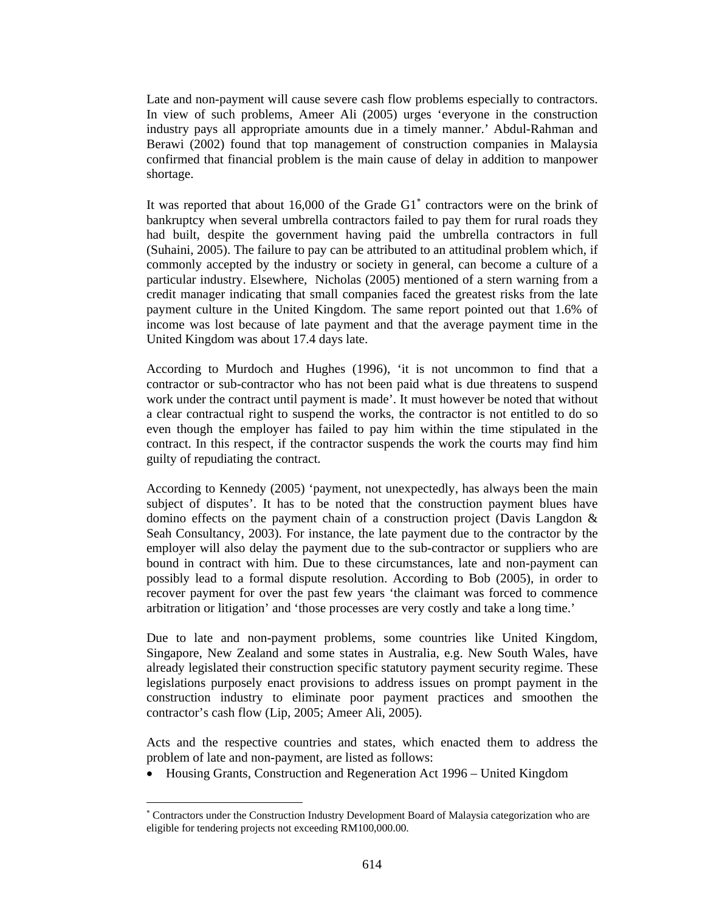Late and non-payment will cause severe cash flow problems especially to contractors. In view of such problems, Ameer Ali (2005) urges 'everyone in the construction industry pays all appropriate amounts due in a timely manner.' Abdul-Rahman and Berawi (2002) found that top management of construction companies in Malaysia confirmed that financial problem is the main cause of delay in addition to manpower shortage.

It was reported that about 16,000 of the Grade G1<sup>\*</sup> contractors were on the brink of bankruptcy when several umbrella contractors failed to pay them for rural roads they had built, despite the government having paid the umbrella contractors in full (Suhaini, 2005). The failure to pay can be attributed to an attitudinal problem which, if commonly accepted by the industry or society in general, can become a culture of a particular industry. Elsewhere, Nicholas (2005) mentioned of a stern warning from a credit manager indicating that small companies faced the greatest risks from the late payment culture in the United Kingdom. The same report pointed out that 1.6% of income was lost because of late payment and that the average payment time in the United Kingdom was about 17.4 days late.

According to Murdoch and Hughes (1996), 'it is not uncommon to find that a contractor or sub-contractor who has not been paid what is due threatens to suspend work under the contract until payment is made'. It must however be noted that without a clear contractual right to suspend the works, the contractor is not entitled to do so even though the employer has failed to pay him within the time stipulated in the contract. In this respect, if the contractor suspends the work the courts may find him guilty of repudiating the contract.

According to Kennedy (2005) 'payment, not unexpectedly, has always been the main subject of disputes'. It has to be noted that the construction payment blues have domino effects on the payment chain of a construction project (Davis Langdon & Seah Consultancy, 2003). For instance, the late payment due to the contractor by the employer will also delay the payment due to the sub-contractor or suppliers who are bound in contract with him. Due to these circumstances, late and non-payment can possibly lead to a formal dispute resolution. According to Bob (2005), in order to recover payment for over the past few years 'the claimant was forced to commence arbitration or litigation' and 'those processes are very costly and take a long time.'

Due to late and non-payment problems, some countries like United Kingdom, Singapore, New Zealand and some states in Australia, e.g. New South Wales, have already legislated their construction specific statutory payment security regime. These legislations purposely enact provisions to address issues on prompt payment in the construction industry to eliminate poor payment practices and smoothen the contractor's cash flow (Lip, 2005; Ameer Ali, 2005).

Acts and the respective countries and states, which enacted them to address the problem of late and non-payment, are listed as follows:

• Housing Grants, Construction and Regeneration Act 1996 – United Kingdom

 $\overline{a}$ 

<sup>∗</sup> Contractors under the Construction Industry Development Board of Malaysia categorization who are eligible for tendering projects not exceeding RM100,000.00.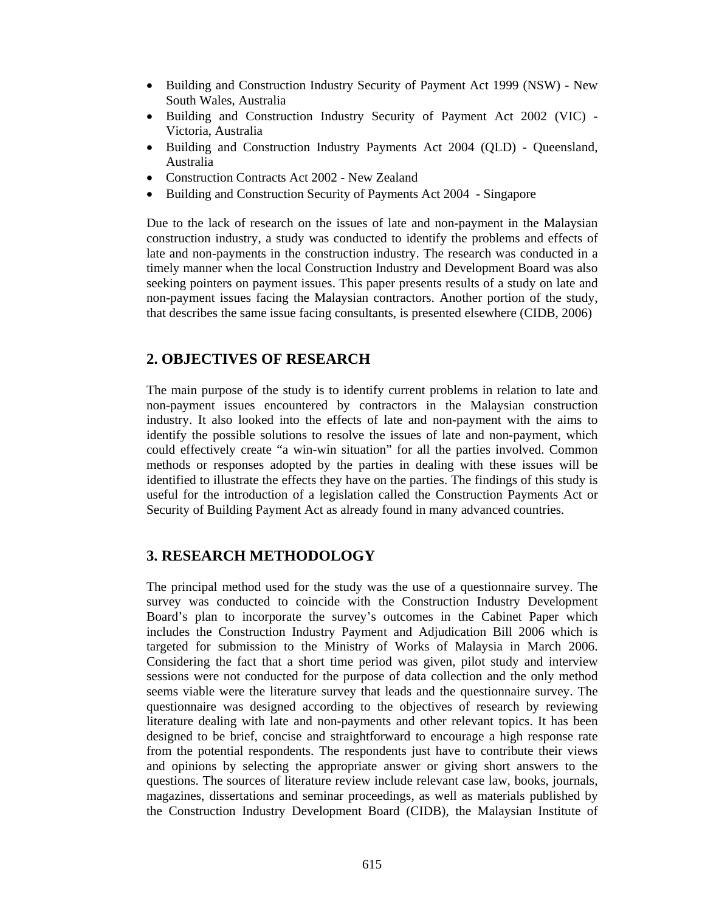- Building and Construction Industry Security of Payment Act 1999 (NSW) New South Wales, Australia
- Building and Construction Industry Security of Payment Act 2002 (VIC) Victoria, Australia
- Building and Construction Industry Payments Act 2004 (QLD) Queensland, Australia
- Construction Contracts Act 2002 New Zealand
- Building and Construction Security of Payments Act 2004 Singapore

Due to the lack of research on the issues of late and non-payment in the Malaysian construction industry, a study was conducted to identify the problems and effects of late and non-payments in the construction industry. The research was conducted in a timely manner when the local Construction Industry and Development Board was also seeking pointers on payment issues. This paper presents results of a study on late and non-payment issues facing the Malaysian contractors. Another portion of the study, that describes the same issue facing consultants, is presented elsewhere (CIDB, 2006)

# **2. OBJECTIVES OF RESEARCH**

The main purpose of the study is to identify current problems in relation to late and non-payment issues encountered by contractors in the Malaysian construction industry. It also looked into the effects of late and non-payment with the aims to identify the possible solutions to resolve the issues of late and non-payment, which could effectively create "a win-win situation" for all the parties involved. Common methods or responses adopted by the parties in dealing with these issues will be identified to illustrate the effects they have on the parties. The findings of this study is useful for the introduction of a legislation called the Construction Payments Act or Security of Building Payment Act as already found in many advanced countries.

# **3. RESEARCH METHODOLOGY**

The principal method used for the study was the use of a questionnaire survey. The survey was conducted to coincide with the Construction Industry Development Board's plan to incorporate the survey's outcomes in the Cabinet Paper which includes the Construction Industry Payment and Adjudication Bill 2006 which is targeted for submission to the Ministry of Works of Malaysia in March 2006. Considering the fact that a short time period was given, pilot study and interview sessions were not conducted for the purpose of data collection and the only method seems viable were the literature survey that leads and the questionnaire survey. The questionnaire was designed according to the objectives of research by reviewing literature dealing with late and non-payments and other relevant topics. It has been designed to be brief, concise and straightforward to encourage a high response rate from the potential respondents. The respondents just have to contribute their views and opinions by selecting the appropriate answer or giving short answers to the questions. The sources of literature review include relevant case law, books, journals, magazines, dissertations and seminar proceedings, as well as materials published by the Construction Industry Development Board (CIDB), the Malaysian Institute of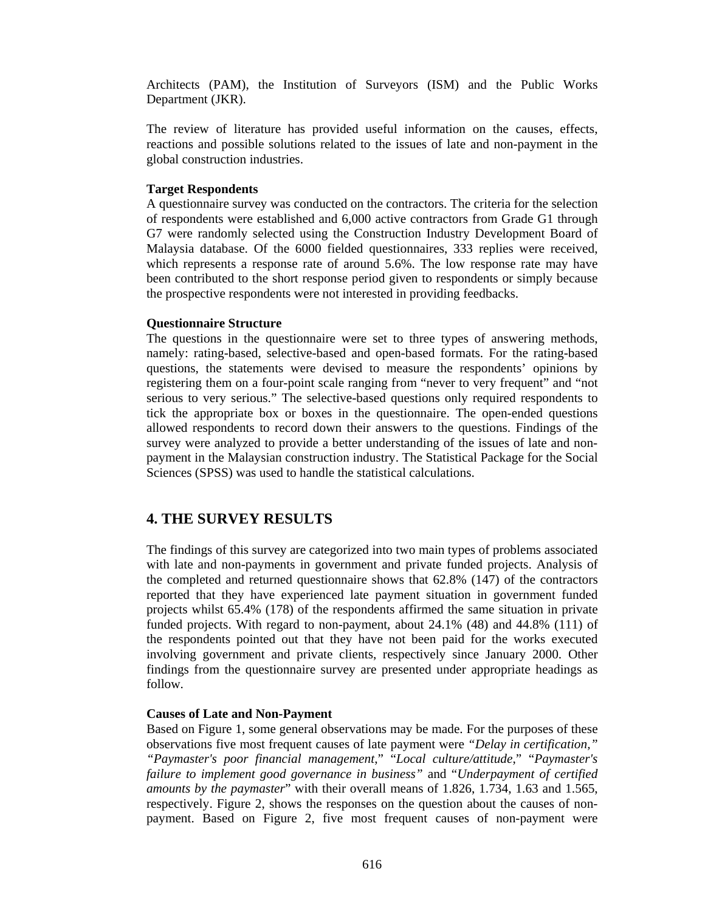Architects (PAM), the Institution of Surveyors (ISM) and the Public Works Department (JKR).

The review of literature has provided useful information on the causes, effects, reactions and possible solutions related to the issues of late and non-payment in the global construction industries.

### **Target Respondents**

A questionnaire survey was conducted on the contractors. The criteria for the selection of respondents were established and 6,000 active contractors from Grade G1 through G7 were randomly selected using the Construction Industry Development Board of Malaysia database. Of the 6000 fielded questionnaires, 333 replies were received, which represents a response rate of around 5.6%. The low response rate may have been contributed to the short response period given to respondents or simply because the prospective respondents were not interested in providing feedbacks.

#### **Questionnaire Structure**

The questions in the questionnaire were set to three types of answering methods, namely: rating-based, selective-based and open-based formats. For the rating-based questions, the statements were devised to measure the respondents' opinions by registering them on a four-point scale ranging from "never to very frequent" and "not serious to very serious." The selective-based questions only required respondents to tick the appropriate box or boxes in the questionnaire. The open-ended questions allowed respondents to record down their answers to the questions. Findings of the survey were analyzed to provide a better understanding of the issues of late and nonpayment in the Malaysian construction industry. The Statistical Package for the Social Sciences (SPSS) was used to handle the statistical calculations.

# **4. THE SURVEY RESULTS**

The findings of this survey are categorized into two main types of problems associated with late and non-payments in government and private funded projects. Analysis of the completed and returned questionnaire shows that 62.8% (147) of the contractors reported that they have experienced late payment situation in government funded projects whilst 65.4% (178) of the respondents affirmed the same situation in private funded projects. With regard to non-payment, about 24.1% (48) and 44.8% (111) of the respondents pointed out that they have not been paid for the works executed involving government and private clients, respectively since January 2000. Other findings from the questionnaire survey are presented under appropriate headings as follow.

#### **Causes of Late and Non-Payment**

Based on Figure 1, some general observations may be made. For the purposes of these observations five most frequent causes of late payment were *"Delay in certification," "Paymaster's poor financial management*," "*Local culture/attitude*," "*Paymaster's failure to implement good governance in business"* and "*Underpayment of certified amounts by the paymaster*" with their overall means of 1.826, 1.734, 1.63 and 1.565, respectively. Figure 2, shows the responses on the question about the causes of nonpayment. Based on Figure 2, five most frequent causes of non-payment were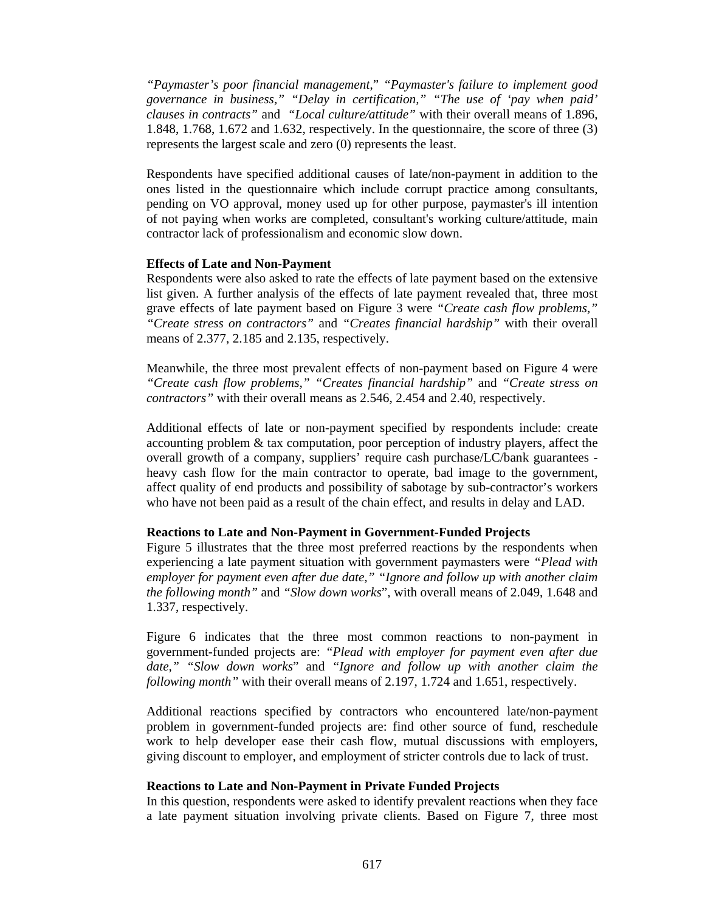*"Paymaster's poor financial management*," *"Paymaster's failure to implement good governance in business," "Delay in certification," "The use of 'pay when paid' clauses in contracts"* and *"Local culture/attitude"* with their overall means of 1.896, 1.848, 1.768, 1.672 and 1.632, respectively. In the questionnaire, the score of three (3) represents the largest scale and zero (0) represents the least.

Respondents have specified additional causes of late/non-payment in addition to the ones listed in the questionnaire which include corrupt practice among consultants, pending on VO approval, money used up for other purpose, paymaster's ill intention of not paying when works are completed, consultant's working culture/attitude, main contractor lack of professionalism and economic slow down.

### **Effects of Late and Non-Payment**

Respondents were also asked to rate the effects of late payment based on the extensive list given. A further analysis of the effects of late payment revealed that, three most grave effects of late payment based on Figure 3 were *"Create cash flow problems," "Create stress on contractors"* and *"Creates financial hardship"* with their overall means of 2.377, 2.185 and 2.135, respectively.

Meanwhile, the three most prevalent effects of non-payment based on Figure 4 were *"Create cash flow problems," "Creates financial hardship"* and *"Create stress on contractors"* with their overall means as 2.546, 2.454 and 2.40, respectively.

Additional effects of late or non-payment specified by respondents include: create accounting problem & tax computation, poor perception of industry players, affect the overall growth of a company, suppliers' require cash purchase/LC/bank guarantees heavy cash flow for the main contractor to operate, bad image to the government, affect quality of end products and possibility of sabotage by sub-contractor's workers who have not been paid as a result of the chain effect, and results in delay and LAD.

## **Reactions to Late and Non-Payment in Government-Funded Projects**

Figure 5 illustrates that the three most preferred reactions by the respondents when experiencing a late payment situation with government paymasters were *"Plead with employer for payment even after due date," "Ignore and follow up with another claim the following month"* and *"Slow down works*", with overall means of 2.049, 1.648 and 1.337, respectively.

Figure 6 indicates that the three most common reactions to non-payment in government-funded projects are: *"Plead with employer for payment even after due date," "Slow down works*" and *"Ignore and follow up with another claim the following month"* with their overall means of 2.197, 1.724 and 1.651, respectively.

Additional reactions specified by contractors who encountered late/non-payment problem in government-funded projects are: find other source of fund, reschedule work to help developer ease their cash flow, mutual discussions with employers, giving discount to employer, and employment of stricter controls due to lack of trust.

## **Reactions to Late and Non-Payment in Private Funded Projects**

In this question, respondents were asked to identify prevalent reactions when they face a late payment situation involving private clients. Based on Figure 7, three most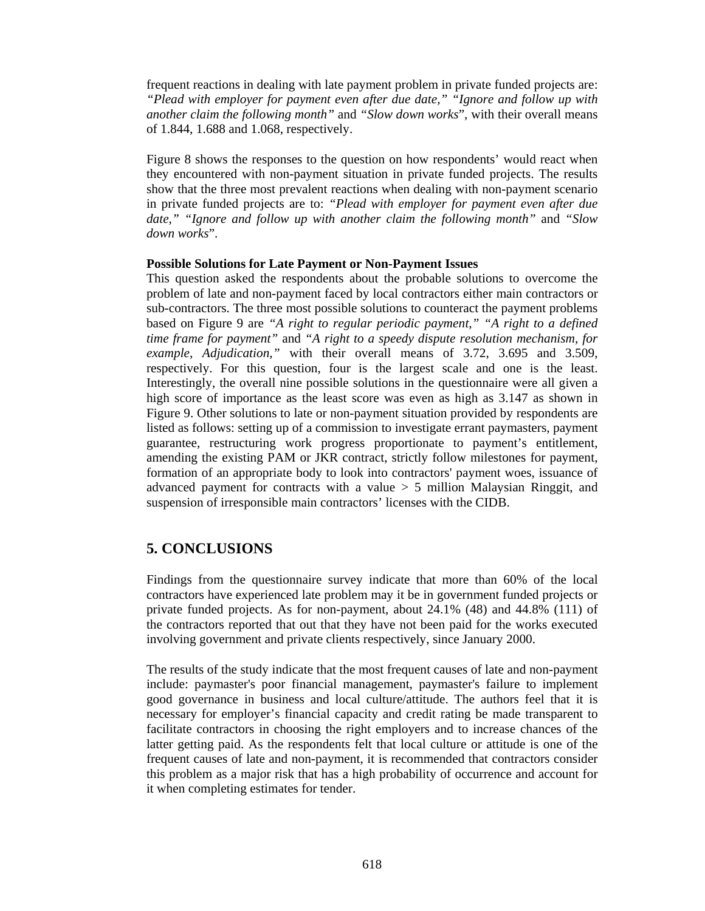frequent reactions in dealing with late payment problem in private funded projects are: *"Plead with employer for payment even after due date," "Ignore and follow up with another claim the following month"* and *"Slow down works*", with their overall means of 1.844, 1.688 and 1.068, respectively.

Figure 8 shows the responses to the question on how respondents' would react when they encountered with non-payment situation in private funded projects. The results show that the three most prevalent reactions when dealing with non-payment scenario in private funded projects are to: *"Plead with employer for payment even after due date," "Ignore and follow up with another claim the following month"* and *"Slow down works*".

#### **Possible Solutions for Late Payment or Non-Payment Issues**

This question asked the respondents about the probable solutions to overcome the problem of late and non-payment faced by local contractors either main contractors or sub-contractors. The three most possible solutions to counteract the payment problems based on Figure 9 are *"A right to regular periodic payment," "A right to a defined time frame for payment"* and *"A right to a speedy dispute resolution mechanism, for example, Adjudication,"* with their overall means of 3.72, 3.695 and 3.509, respectively. For this question, four is the largest scale and one is the least. Interestingly, the overall nine possible solutions in the questionnaire were all given a high score of importance as the least score was even as high as 3.147 as shown in Figure 9. Other solutions to late or non-payment situation provided by respondents are listed as follows: setting up of a commission to investigate errant paymasters, payment guarantee, restructuring work progress proportionate to payment's entitlement, amending the existing PAM or JKR contract, strictly follow milestones for payment, formation of an appropriate body to look into contractors' payment woes, issuance of advanced payment for contracts with a value > 5 million Malaysian Ringgit, and suspension of irresponsible main contractors' licenses with the CIDB.

# **5. CONCLUSIONS**

Findings from the questionnaire survey indicate that more than 60% of the local contractors have experienced late problem may it be in government funded projects or private funded projects. As for non-payment, about 24.1% (48) and 44.8% (111) of the contractors reported that out that they have not been paid for the works executed involving government and private clients respectively, since January 2000.

The results of the study indicate that the most frequent causes of late and non-payment include: paymaster's poor financial management, paymaster's failure to implement good governance in business and local culture/attitude. The authors feel that it is necessary for employer's financial capacity and credit rating be made transparent to facilitate contractors in choosing the right employers and to increase chances of the latter getting paid. As the respondents felt that local culture or attitude is one of the frequent causes of late and non-payment, it is recommended that contractors consider this problem as a major risk that has a high probability of occurrence and account for it when completing estimates for tender.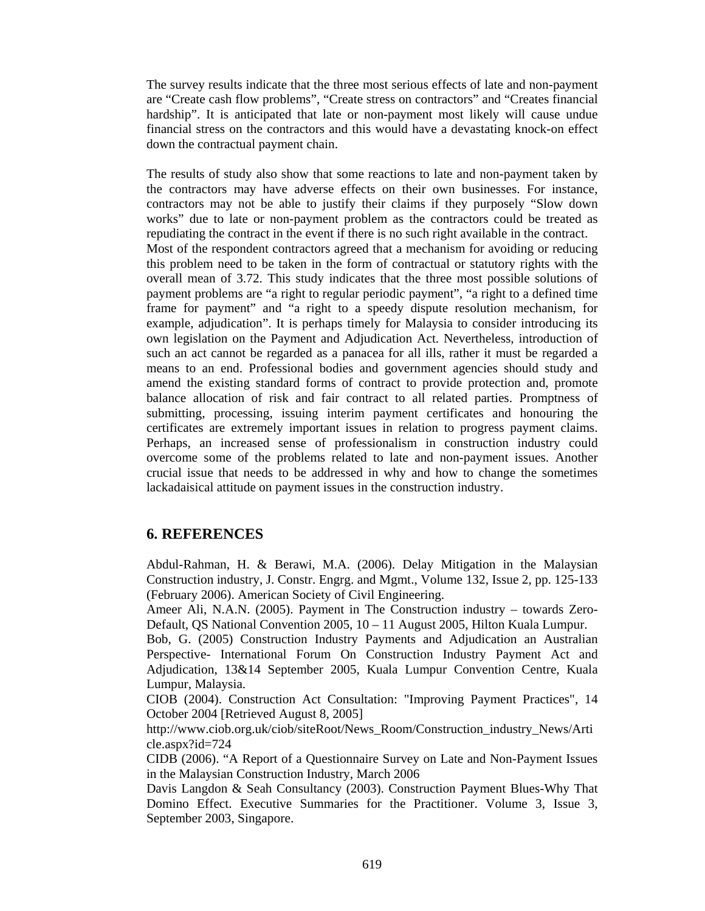The survey results indicate that the three most serious effects of late and non-payment are "Create cash flow problems", "Create stress on contractors" and "Creates financial hardship". It is anticipated that late or non-payment most likely will cause undue financial stress on the contractors and this would have a devastating knock-on effect down the contractual payment chain.

The results of study also show that some reactions to late and non-payment taken by the contractors may have adverse effects on their own businesses. For instance, contractors may not be able to justify their claims if they purposely "Slow down works" due to late or non-payment problem as the contractors could be treated as repudiating the contract in the event if there is no such right available in the contract. Most of the respondent contractors agreed that a mechanism for avoiding or reducing this problem need to be taken in the form of contractual or statutory rights with the overall mean of 3.72. This study indicates that the three most possible solutions of payment problems are "a right to regular periodic payment", "a right to a defined time frame for payment" and "a right to a speedy dispute resolution mechanism, for example, adjudication". It is perhaps timely for Malaysia to consider introducing its own legislation on the Payment and Adjudication Act. Nevertheless, introduction of such an act cannot be regarded as a panacea for all ills, rather it must be regarded a means to an end. Professional bodies and government agencies should study and amend the existing standard forms of contract to provide protection and, promote balance allocation of risk and fair contract to all related parties. Promptness of submitting, processing, issuing interim payment certificates and honouring the certificates are extremely important issues in relation to progress payment claims. Perhaps, an increased sense of professionalism in construction industry could overcome some of the problems related to late and non-payment issues. Another crucial issue that needs to be addressed in why and how to change the sometimes lackadaisical attitude on payment issues in the construction industry.

# **6. REFERENCES**

Abdul-Rahman, H. & Berawi, M.A. (2006). Delay Mitigation in the Malaysian Construction industry, J. Constr. Engrg. and Mgmt., Volume 132, Issue 2, pp. 125-133 (February 2006). American Society of Civil Engineering.

Ameer Ali, N.A.N. (2005). Payment in The Construction industry – towards Zero-Default, QS National Convention 2005, 10 – 11 August 2005, Hilton Kuala Lumpur.

Bob, G. (2005) Construction Industry Payments and Adjudication an Australian Perspective- International Forum On Construction Industry Payment Act and Adjudication, 13&14 September 2005, Kuala Lumpur Convention Centre, Kuala Lumpur, Malaysia.

CIOB (2004). Construction Act Consultation: "Improving Payment Practices", 14 October 2004 [Retrieved August 8, 2005]

http://www.ciob.org.uk/ciob/siteRoot/News\_Room/Construction\_industry\_News/Arti cle.aspx?id=724

CIDB (2006). "A Report of a Questionnaire Survey on Late and Non-Payment Issues in the Malaysian Construction Industry, March 2006

Davis Langdon & Seah Consultancy (2003). Construction Payment Blues-Why That Domino Effect. Executive Summaries for the Practitioner. Volume 3, Issue 3, September 2003, Singapore.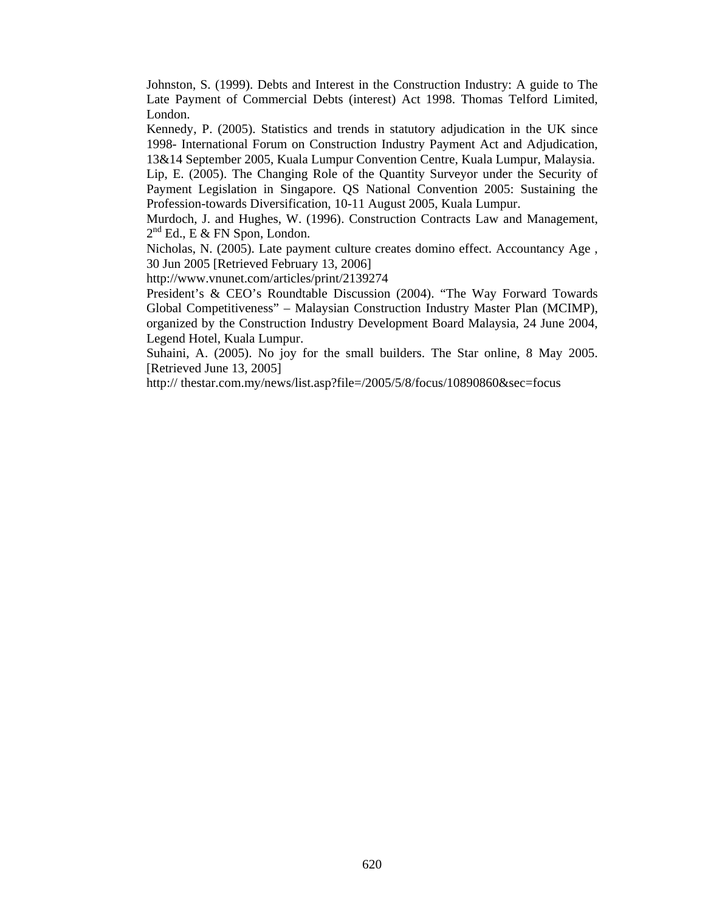Johnston, S. (1999). Debts and Interest in the Construction Industry: A guide to The Late Payment of Commercial Debts (interest) Act 1998. Thomas Telford Limited, London.

Kennedy, P. (2005). Statistics and trends in statutory adjudication in the UK since 1998- International Forum on Construction Industry Payment Act and Adjudication, 13&14 September 2005, Kuala Lumpur Convention Centre, Kuala Lumpur, Malaysia.

Lip, E. (2005). The Changing Role of the Quantity Surveyor under the Security of Payment Legislation in Singapore. QS National Convention 2005: Sustaining the Profession-towards Diversification, 10-11 August 2005, Kuala Lumpur.

Murdoch, J. and Hughes, W. (1996). Construction Contracts Law and Management,  $2<sup>nd</sup>$  Ed., E & FN Spon, London.

Nicholas, N. (2005). Late payment culture creates domino effect. Accountancy Age , 30 Jun 2005 [Retrieved February 13, 2006]

http://www.vnunet.com/articles/print/2139274

President's & CEO's Roundtable Discussion (2004). "The Way Forward Towards Global Competitiveness" – Malaysian Construction Industry Master Plan (MCIMP), organized by the Construction Industry Development Board Malaysia, 24 June 2004, Legend Hotel, Kuala Lumpur.

Suhaini, A. (2005). No joy for the small builders. The Star online, 8 May 2005. [Retrieved June 13, 2005]

http:// thestar.com.my/news/list.asp?file=/2005/5/8/focus/10890860&sec=focus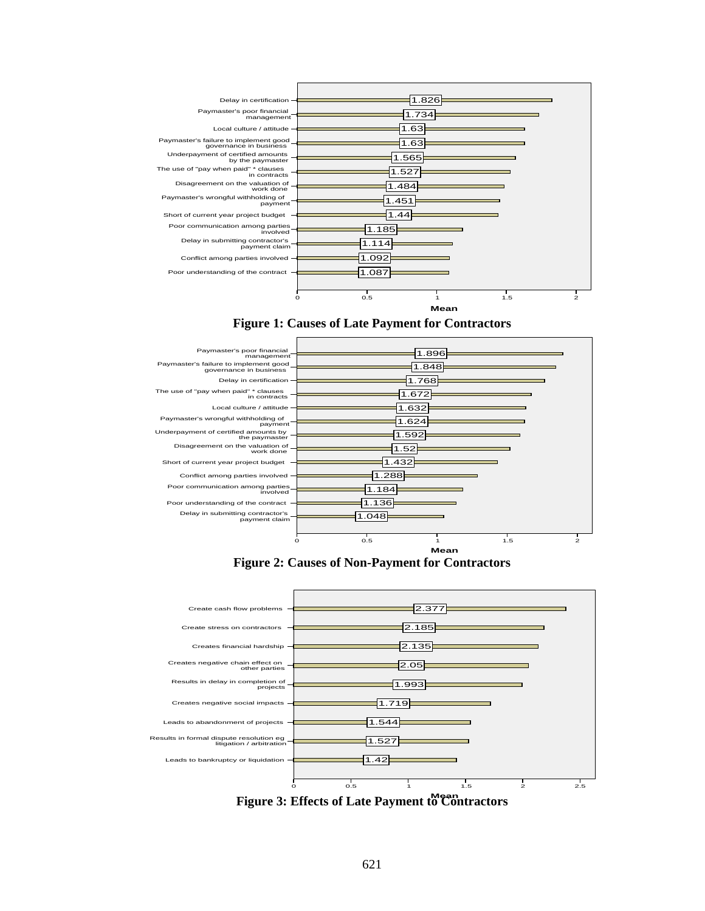

## **Figure 1: Causes of Late Payment for Contractors**



**Figure 2: Causes of Non-Payment for Contractors** 



**Mean Figure 3: Effects of Late Payment to Contractors**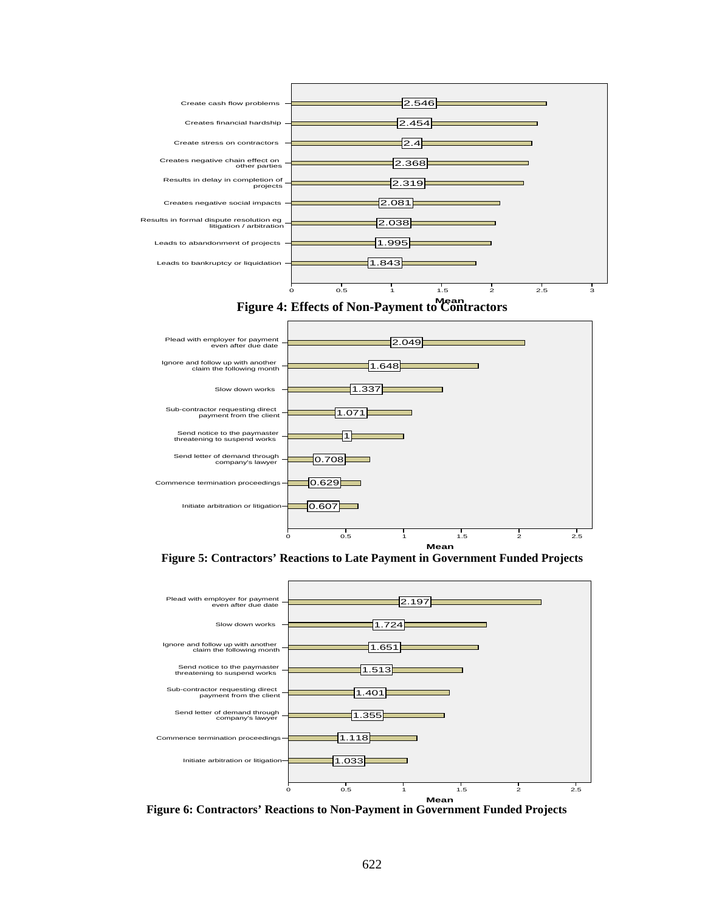





**Figure 5: Contractors' Reactions to Late Payment in Government Funded Projects** 



**Figure 6: Contractors' Reactions to Non-Payment in Government Funded Projects**